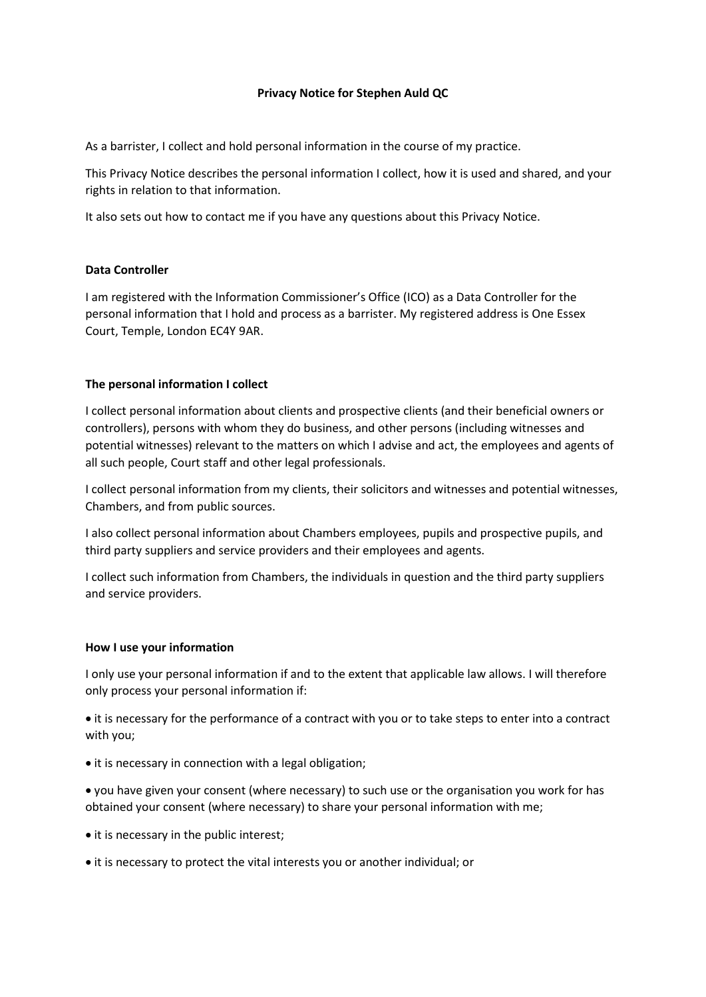# Privacy Notice for Stephen Auld QC

As a barrister, I collect and hold personal information in the course of my practice.

This Privacy Notice describes the personal information I collect, how it is used and shared, and your rights in relation to that information.

It also sets out how to contact me if you have any questions about this Privacy Notice.

# Data Controller

I am registered with the Information Commissioner's Office (ICO) as a Data Controller for the personal information that I hold and process as a barrister. My registered address is One Essex Court, Temple, London EC4Y 9AR.

# The personal information I collect

I collect personal information about clients and prospective clients (and their beneficial owners or controllers), persons with whom they do business, and other persons (including witnesses and potential witnesses) relevant to the matters on which I advise and act, the employees and agents of all such people, Court staff and other legal professionals.

I collect personal information from my clients, their solicitors and witnesses and potential witnesses, Chambers, and from public sources.

I also collect personal information about Chambers employees, pupils and prospective pupils, and third party suppliers and service providers and their employees and agents.

I collect such information from Chambers, the individuals in question and the third party suppliers and service providers.

#### How I use your information

I only use your personal information if and to the extent that applicable law allows. I will therefore only process your personal information if:

 it is necessary for the performance of a contract with you or to take steps to enter into a contract with you;

• it is necessary in connection with a legal obligation;

 you have given your consent (where necessary) to such use or the organisation you work for has obtained your consent (where necessary) to share your personal information with me;

- it is necessary in the public interest;
- it is necessary to protect the vital interests you or another individual; or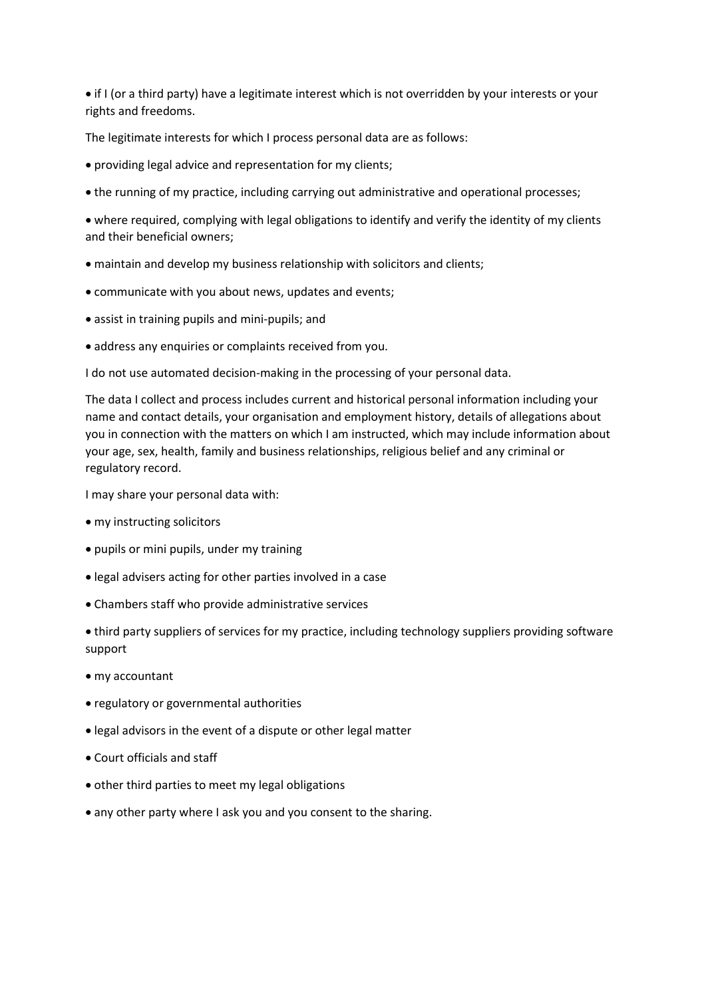if I (or a third party) have a legitimate interest which is not overridden by your interests or your rights and freedoms.

The legitimate interests for which I process personal data are as follows:

- providing legal advice and representation for my clients;
- the running of my practice, including carrying out administrative and operational processes;

 where required, complying with legal obligations to identify and verify the identity of my clients and their beneficial owners;

- maintain and develop my business relationship with solicitors and clients;
- communicate with you about news, updates and events;
- assist in training pupils and mini-pupils; and
- address any enquiries or complaints received from you.

I do not use automated decision-making in the processing of your personal data.

The data I collect and process includes current and historical personal information including your name and contact details, your organisation and employment history, details of allegations about you in connection with the matters on which I am instructed, which may include information about your age, sex, health, family and business relationships, religious belief and any criminal or regulatory record.

I may share your personal data with:

- my instructing solicitors
- pupils or mini pupils, under my training
- legal advisers acting for other parties involved in a case
- Chambers staff who provide administrative services

 third party suppliers of services for my practice, including technology suppliers providing software support

- my accountant
- regulatory or governmental authorities
- legal advisors in the event of a dispute or other legal matter
- Court officials and staff
- other third parties to meet my legal obligations
- any other party where I ask you and you consent to the sharing.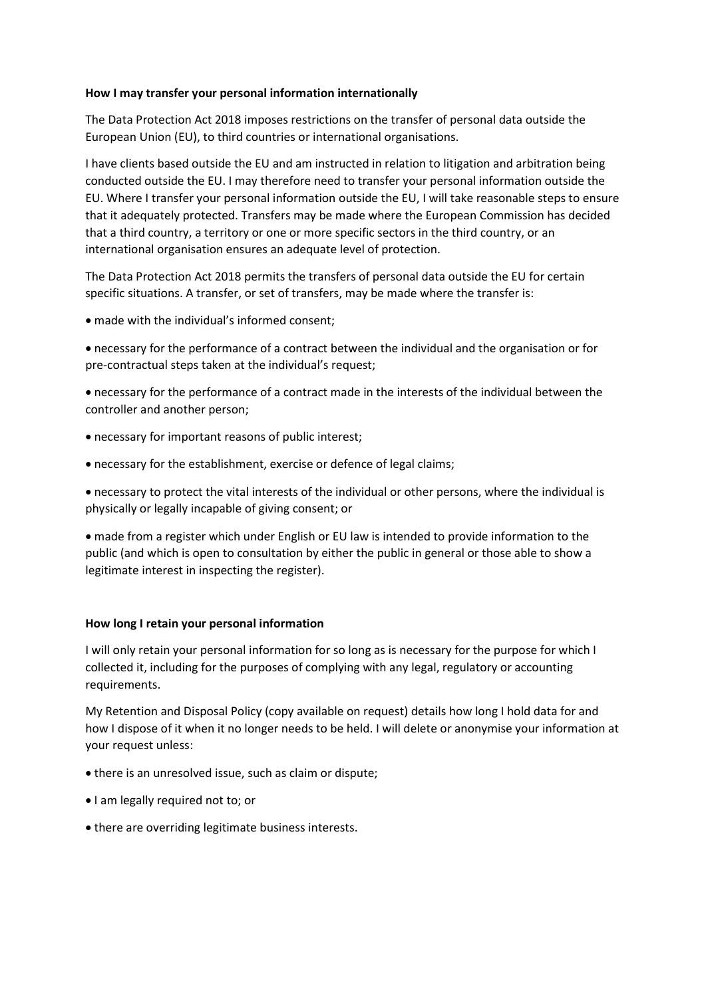#### How I may transfer your personal information internationally

The Data Protection Act 2018 imposes restrictions on the transfer of personal data outside the European Union (EU), to third countries or international organisations.

I have clients based outside the EU and am instructed in relation to litigation and arbitration being conducted outside the EU. I may therefore need to transfer your personal information outside the EU. Where I transfer your personal information outside the EU, I will take reasonable steps to ensure that it adequately protected. Transfers may be made where the European Commission has decided that a third country, a territory or one or more specific sectors in the third country, or an international organisation ensures an adequate level of protection.

The Data Protection Act 2018 permits the transfers of personal data outside the EU for certain specific situations. A transfer, or set of transfers, may be made where the transfer is:

made with the individual's informed consent;

 necessary for the performance of a contract between the individual and the organisation or for pre-contractual steps taken at the individual's request;

 necessary for the performance of a contract made in the interests of the individual between the controller and another person;

- necessary for important reasons of public interest;
- necessary for the establishment, exercise or defence of legal claims;

 necessary to protect the vital interests of the individual or other persons, where the individual is physically or legally incapable of giving consent; or

 made from a register which under English or EU law is intended to provide information to the public (and which is open to consultation by either the public in general or those able to show a legitimate interest in inspecting the register).

#### How long I retain your personal information

I will only retain your personal information for so long as is necessary for the purpose for which I collected it, including for the purposes of complying with any legal, regulatory or accounting requirements.

My Retention and Disposal Policy (copy available on request) details how long I hold data for and how I dispose of it when it no longer needs to be held. I will delete or anonymise your information at your request unless:

- there is an unresolved issue, such as claim or dispute;
- $\bullet$  I am legally required not to; or
- there are overriding legitimate business interests.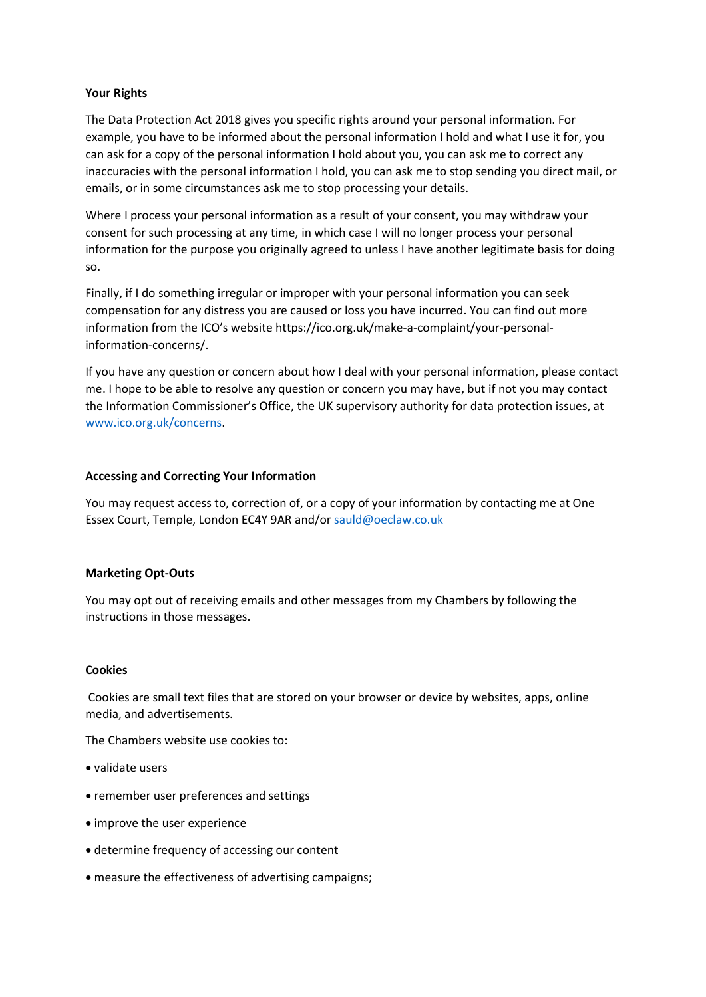### Your Rights

The Data Protection Act 2018 gives you specific rights around your personal information. For example, you have to be informed about the personal information I hold and what I use it for, you can ask for a copy of the personal information I hold about you, you can ask me to correct any inaccuracies with the personal information I hold, you can ask me to stop sending you direct mail, or emails, or in some circumstances ask me to stop processing your details.

Where I process your personal information as a result of your consent, you may withdraw your consent for such processing at any time, in which case I will no longer process your personal information for the purpose you originally agreed to unless I have another legitimate basis for doing so.

Finally, if I do something irregular or improper with your personal information you can seek compensation for any distress you are caused or loss you have incurred. You can find out more information from the ICO's website https://ico.org.uk/make-a-complaint/your-personalinformation-concerns/.

If you have any question or concern about how I deal with your personal information, please contact me. I hope to be able to resolve any question or concern you may have, but if not you may contact the Information Commissioner's Office, the UK supervisory authority for data protection issues, at www.ico.org.uk/concerns.

# Accessing and Correcting Your Information

You may request access to, correction of, or a copy of your information by contacting me at One Essex Court, Temple, London EC4Y 9AR and/or sauld@oeclaw.co.uk

#### Marketing Opt-Outs

You may opt out of receiving emails and other messages from my Chambers by following the instructions in those messages.

#### Cookies

 Cookies are small text files that are stored on your browser or device by websites, apps, online media, and advertisements.

The Chambers website use cookies to:

- validate users
- remember user preferences and settings
- improve the user experience
- determine frequency of accessing our content
- measure the effectiveness of advertising campaigns;